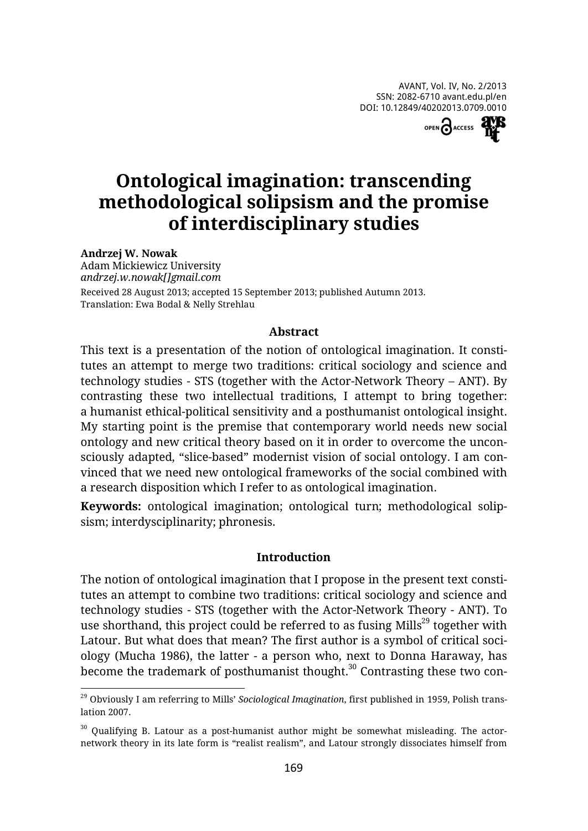

# **Ontological imagination: transcending methodological solipsism and the promise of interdisciplinary studies**

#### **Andrzej W. Nowak**

Adam Mickiewicz University *andrzej.w.nowak[]gmail.com* Received 28 August 2013; accepted 15 September 2013; published Autumn 2013. Translation: Ewa Bodal & Nelly Strehlau

#### **Abstract**

This text is a presentation of the notion of ontological imagination. It constitutes an attempt to merge two traditions: critical sociology and science and technology studies - STS (together with the Actor-Network Theory – ANT). By contrasting these two intellectual traditions, I attempt to bring together: a humanist ethical-political sensitivity and a posthumanist ontological insight. My starting point is the premise that contemporary world needs new social ontology and new critical theory based on it in order to overcome the unconsciously adapted, "slice-based" modernist vision of social ontology. I am convinced that we need new ontological frameworks of the social combined with a research disposition which I refer to as ontological imagination.

**Keywords:** ontological imagination; ontological turn; methodological solipsism; interdysciplinarity; phronesis.

#### **Introduction**

The notion of ontological imagination that I propose in the present text constitutes an attempt to combine two traditions: critical sociology and science and technology studies - STS (together with the Actor-Network Theory - ANT). To use shorthand, this project could be referred to as fusing  $Mills<sup>29</sup>$  together with Latour. But what does that mean? The first author is a symbol of critical sociology (Mucha 1986), the latter - a person who, next to Donna Haraway, has become the trademark of posthumanist thought. $30$  Contrasting these two con-

 $\ddot{\phantom{a}}$ <sup>29</sup> Obviously I am referring to Mills' *Sociological Imagination*, first published in 1959, Polish translation 2007.

 $30$  Qualifying B. Latour as a post-humanist author might be somewhat misleading. The actornetwork theory in its late form is "realist realism", and Latour strongly dissociates himself from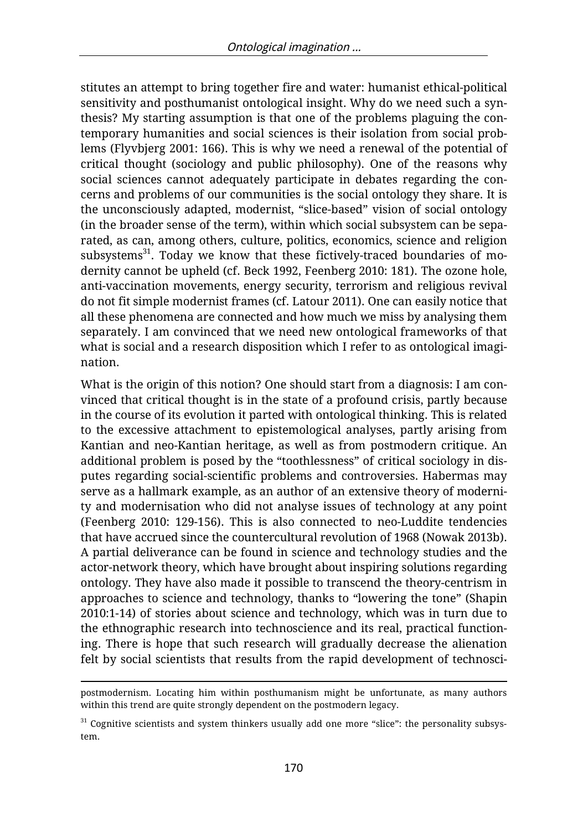stitutes an attempt to bring together fire and water: humanist ethical-political sensitivity and posthumanist ontological insight. Why do we need such a synthesis? My starting assumption is that one of the problems plaguing the contemporary humanities and social sciences is their isolation from social problems (Flyvbjerg 2001: 166). This is why we need a renewal of the potential of critical thought (sociology and public philosophy). One of the reasons why social sciences cannot adequately participate in debates regarding the concerns and problems of our communities is the social ontology they share. It is the unconsciously adapted, modernist, "slice-based" vision of social ontology (in the broader sense of the term), within which social subsystem can be separated, as can, among others, culture, politics, economics, science and religion subsystems $^{31}$ . Today we know that these fictively-traced boundaries of modernity cannot be upheld (cf. Beck 1992, Feenberg 2010: 181). The ozone hole, anti-vaccination movements, energy security, terrorism and religious revival do not fit simple modernist frames (cf. Latour 2011). One can easily notice that all these phenomena are connected and how much we miss by analysing them separately. I am convinced that we need new ontological frameworks of that what is social and a research disposition which I refer to as ontological imagination.

What is the origin of this notion? One should start from a diagnosis: I am convinced that critical thought is in the state of a profound crisis, partly because in the course of its evolution it parted with ontological thinking. This is related to the excessive attachment to epistemological analyses, partly arising from Kantian and neo-Kantian heritage, as well as from postmodern critique. An additional problem is posed by the "toothlessness" of critical sociology in disputes regarding social-scientific problems and controversies. Habermas may serve as a hallmark example, as an author of an extensive theory of modernity and modernisation who did not analyse issues of technology at any point (Feenberg 2010: 129-156). This is also connected to neo-Luddite tendencies that have accrued since the countercultural revolution of 1968 (Nowak 2013b). A partial deliverance can be found in science and technology studies and the actor-network theory, which have brought about inspiring solutions regarding ontology. They have also made it possible to transcend the theory-centrism in approaches to science and technology, thanks to "lowering the tone" (Shapin 2010:1-14) of stories about science and technology, which was in turn due to the ethnographic research into technoscience and its real, practical functioning. There is hope that such research will gradually decrease the alienation felt by social scientists that results from the rapid development of technosci-

<sup>1</sup> postmodernism. Locating him within posthumanism might be unfortunate, as many authors within this trend are quite strongly dependent on the postmodern legacy.

 $31$  Cognitive scientists and system thinkers usually add one more "slice": the personality subsystem.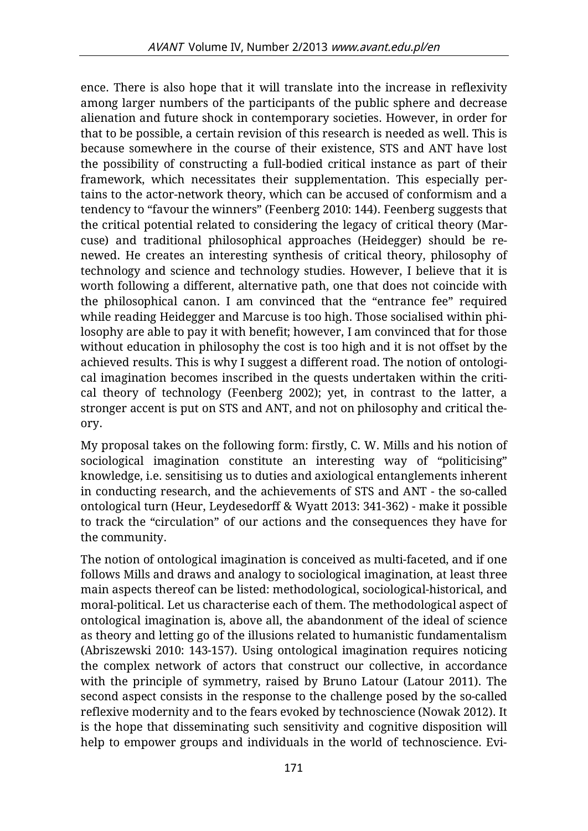ence. There is also hope that it will translate into the increase in reflexivity among larger numbers of the participants of the public sphere and decrease alienation and future shock in contemporary societies. However, in order for that to be possible, a certain revision of this research is needed as well. This is because somewhere in the course of their existence, STS and ANT have lost the possibility of constructing a full-bodied critical instance as part of their framework, which necessitates their supplementation. This especially pertains to the actor-network theory, which can be accused of conformism and a tendency to "favour the winners" (Feenberg 2010: 144). Feenberg suggests that the critical potential related to considering the legacy of critical theory (Marcuse) and traditional philosophical approaches (Heidegger) should be renewed. He creates an interesting synthesis of critical theory, philosophy of technology and science and technology studies. However, I believe that it is worth following a different, alternative path, one that does not coincide with the philosophical canon. I am convinced that the "entrance fee" required while reading Heidegger and Marcuse is too high. Those socialised within philosophy are able to pay it with benefit; however, I am convinced that for those without education in philosophy the cost is too high and it is not offset by the achieved results. This is why I suggest a different road. The notion of ontological imagination becomes inscribed in the quests undertaken within the critical theory of technology (Feenberg 2002); yet, in contrast to the latter, a stronger accent is put on STS and ANT, and not on philosophy and critical theory.

My proposal takes on the following form: firstly, C. W. Mills and his notion of sociological imagination constitute an interesting way of "politicising" knowledge, i.e. sensitising us to duties and axiological entanglements inherent in conducting research, and the achievements of STS and ANT - the so-called ontological turn (Heur, Leydesedorff & Wyatt 2013: 341-362) - make it possible to track the "circulation" of our actions and the consequences they have for the community.

The notion of ontological imagination is conceived as multi-faceted, and if one follows Mills and draws and analogy to sociological imagination, at least three main aspects thereof can be listed: methodological, sociological-historical, and moral-political. Let us characterise each of them. The methodological aspect of ontological imagination is, above all, the abandonment of the ideal of science as theory and letting go of the illusions related to humanistic fundamentalism (Abriszewski 2010: 143-157). Using ontological imagination requires noticing the complex network of actors that construct our collective, in accordance with the principle of symmetry, raised by Bruno Latour (Latour 2011). The second aspect consists in the response to the challenge posed by the so-called reflexive modernity and to the fears evoked by technoscience (Nowak 2012). It is the hope that disseminating such sensitivity and cognitive disposition will help to empower groups and individuals in the world of technoscience. Evi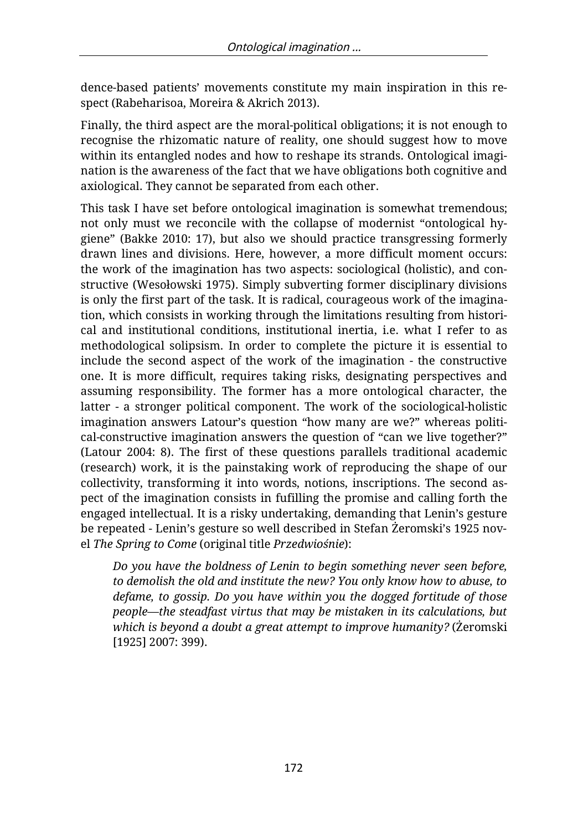dence-based patients' movements constitute my main inspiration in this respect (Rabeharisoa, Moreira & Akrich 2013).

Finally, the third aspect are the moral-political obligations; it is not enough to recognise the rhizomatic nature of reality, one should suggest how to move within its entangled nodes and how to reshape its strands. Ontological imagination is the awareness of the fact that we have obligations both cognitive and axiological. They cannot be separated from each other.

This task I have set before ontological imagination is somewhat tremendous; not only must we reconcile with the collapse of modernist "ontological hygiene" (Bakke 2010: 17), but also we should practice transgressing formerly drawn lines and divisions. Here, however, a more difficult moment occurs: the work of the imagination has two aspects: sociological (holistic), and constructive (Wesołowski 1975). Simply subverting former disciplinary divisions is only the first part of the task. It is radical, courageous work of the imagination, which consists in working through the limitations resulting from historical and institutional conditions, institutional inertia, i.e. what I refer to as methodological solipsism. In order to complete the picture it is essential to include the second aspect of the work of the imagination - the constructive one. It is more difficult, requires taking risks, designating perspectives and assuming responsibility. The former has a more ontological character, the latter - a stronger political component. The work of the sociological-holistic imagination answers Latour's question "how many are we?" whereas political-constructive imagination answers the question of "can we live together?" (Latour 2004: 8). The first of these questions parallels traditional academic (research) work, it is the painstaking work of reproducing the shape of our collectivity, transforming it into words, notions, inscriptions. The second aspect of the imagination consists in fufilling the promise and calling forth the engaged intellectual. It is a risky undertaking, demanding that Lenin's gesture be repeated - Lenin's gesture so well described in Stefan Żeromski's 1925 novel *The Spring to Come* (original title *Przedwiośnie*):

*Do you have the boldness of Lenin to begin something never seen before, to demolish the old and institute the new? You only know how to abuse, to defame, to gossip. Do you have within you the dogged fortitude of those people—the steadfast virtus that may be mistaken in its calculations, but which is beyond a doubt a great attempt to improve humanity?* (Żeromski [1925] 2007: 399).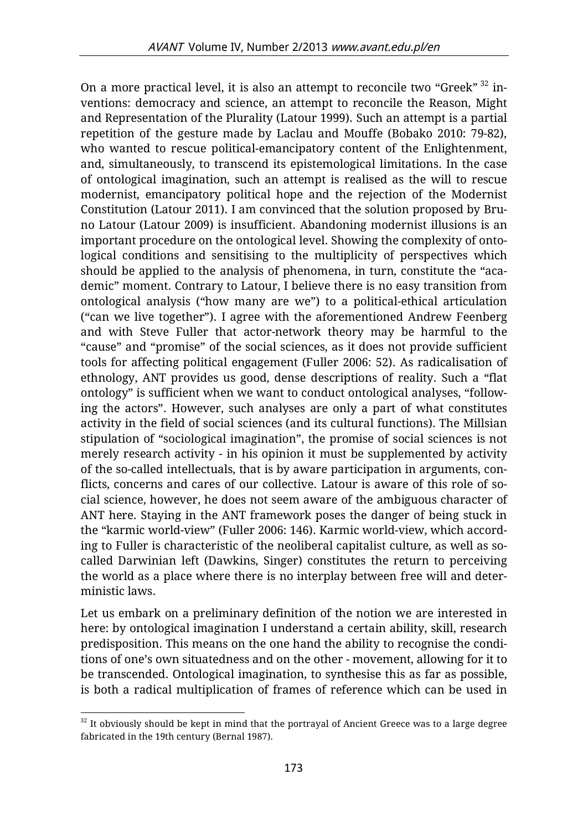On a more practical level, it is also an attempt to reconcile two "Greek"  $32$  inventions: democracy and science, an attempt to reconcile the Reason, Might and Representation of the Plurality (Latour 1999). Such an attempt is a partial repetition of the gesture made by Laclau and Mouffe (Bobako 2010: 79-82), who wanted to rescue political-emancipatory content of the Enlightenment, and, simultaneously, to transcend its epistemological limitations. In the case of ontological imagination, such an attempt is realised as the will to rescue modernist, emancipatory political hope and the rejection of the Modernist Constitution (Latour 2011). I am convinced that the solution proposed by Bruno Latour (Latour 2009) is insufficient. Abandoning modernist illusions is an important procedure on the ontological level. Showing the complexity of ontological conditions and sensitising to the multiplicity of perspectives which should be applied to the analysis of phenomena, in turn, constitute the "academic" moment. Contrary to Latour, I believe there is no easy transition from ontological analysis ("how many are we") to a political-ethical articulation ("can we live together"). I agree with the aforementioned Andrew Feenberg and with Steve Fuller that actor-network theory may be harmful to the "cause" and "promise" of the social sciences, as it does not provide sufficient tools for affecting political engagement (Fuller 2006: 52). As radicalisation of ethnology, ANT provides us good, dense descriptions of reality. Such a "flat ontology" is sufficient when we want to conduct ontological analyses, "following the actors". However, such analyses are only a part of what constitutes activity in the field of social sciences (and its cultural functions). The Millsian stipulation of "sociological imagination", the promise of social sciences is not merely research activity - in his opinion it must be supplemented by activity of the so-called intellectuals, that is by aware participation in arguments, conflicts, concerns and cares of our collective. Latour is aware of this role of social science, however, he does not seem aware of the ambiguous character of ANT here. Staying in the ANT framework poses the danger of being stuck in the "karmic world-view" (Fuller 2006: 146). Karmic world-view, which according to Fuller is characteristic of the neoliberal capitalist culture, as well as socalled Darwinian left (Dawkins, Singer) constitutes the return to perceiving the world as a place where there is no interplay between free will and deterministic laws.

Let us embark on a preliminary definition of the notion we are interested in here: by ontological imagination I understand a certain ability, skill, research predisposition. This means on the one hand the ability to recognise the conditions of one's own situatedness and on the other - movement, allowing for it to be transcended. Ontological imagination, to synthesise this as far as possible, is both a radical multiplication of frames of reference which can be used in

 $\ddot{\phantom{a}}$  $32$  It obviously should be kept in mind that the portrayal of Ancient Greece was to a large degree fabricated in the 19th century (Bernal 1987).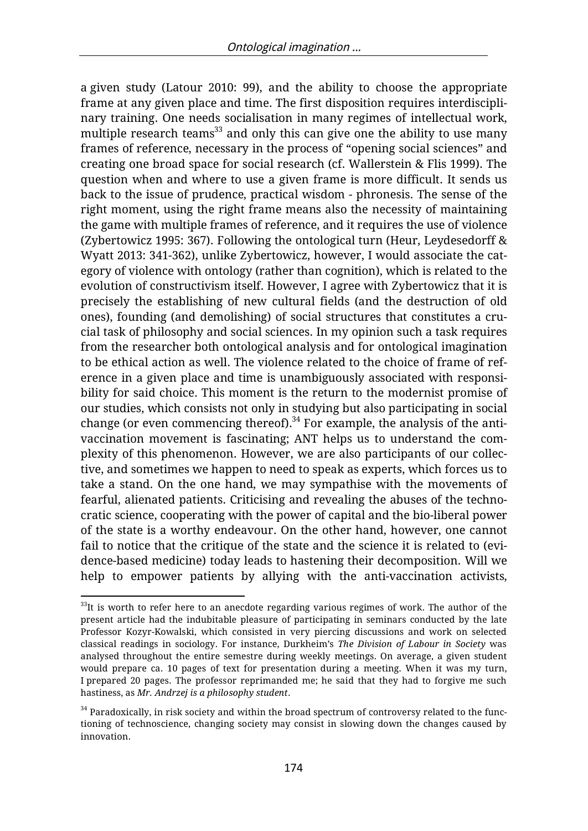a given study (Latour 2010: 99), and the ability to choose the appropriate frame at any given place and time. The first disposition requires interdisciplinary training. One needs socialisation in many regimes of intellectual work, multiple research teams<sup>33</sup> and only this can give one the ability to use many frames of reference, necessary in the process of "opening social sciences" and creating one broad space for social research (cf. Wallerstein & Flis 1999). The question when and where to use a given frame is more difficult. It sends us back to the issue of prudence, practical wisdom - phronesis. The sense of the right moment, using the right frame means also the necessity of maintaining the game with multiple frames of reference, and it requires the use of violence (Zybertowicz 1995: 367). Following the ontological turn (Heur, Leydesedorff & Wyatt 2013: 341-362), unlike Zybertowicz, however, I would associate the category of violence with ontology (rather than cognition), which is related to the evolution of constructivism itself. However, I agree with Zybertowicz that it is precisely the establishing of new cultural fields (and the destruction of old ones), founding (and demolishing) of social structures that constitutes a crucial task of philosophy and social sciences. In my opinion such a task requires from the researcher both ontological analysis and for ontological imagination to be ethical action as well. The violence related to the choice of frame of reference in a given place and time is unambiguously associated with responsibility for said choice. This moment is the return to the modernist promise of our studies, which consists not only in studying but also participating in social change (or even commencing thereof). $34$  For example, the analysis of the antivaccination movement is fascinating; ANT helps us to understand the complexity of this phenomenon. However, we are also participants of our collective, and sometimes we happen to need to speak as experts, which forces us to take a stand. On the one hand, we may sympathise with the movements of fearful, alienated patients. Criticising and revealing the abuses of the technocratic science, cooperating with the power of capital and the bio-liberal power of the state is a worthy endeavour. On the other hand, however, one cannot fail to notice that the critique of the state and the science it is related to (evidence-based medicine) today leads to hastening their decomposition. Will we help to empower patients by allying with the anti-vaccination activists,

 $\overline{a}$  $33$ It is worth to refer here to an anecdote regarding various regimes of work. The author of the present article had the indubitable pleasure of participating in seminars conducted by the late Professor Kozyr-Kowalski, which consisted in very piercing discussions and work on selected classical readings in sociology. For instance, Durkheim's *The Division of Labour in Society* was analysed throughout the entire semestre during weekly meetings. On average, a given student would prepare ca. 10 pages of text for presentation during a meeting. When it was my turn, I prepared 20 pages. The professor reprimanded me; he said that they had to forgive me such hastiness, as *Mr. Andrzej is a philosophy student*.

 $34$  Paradoxically, in risk society and within the broad spectrum of controversy related to the functioning of technoscience, changing society may consist in slowing down the changes caused by innovation.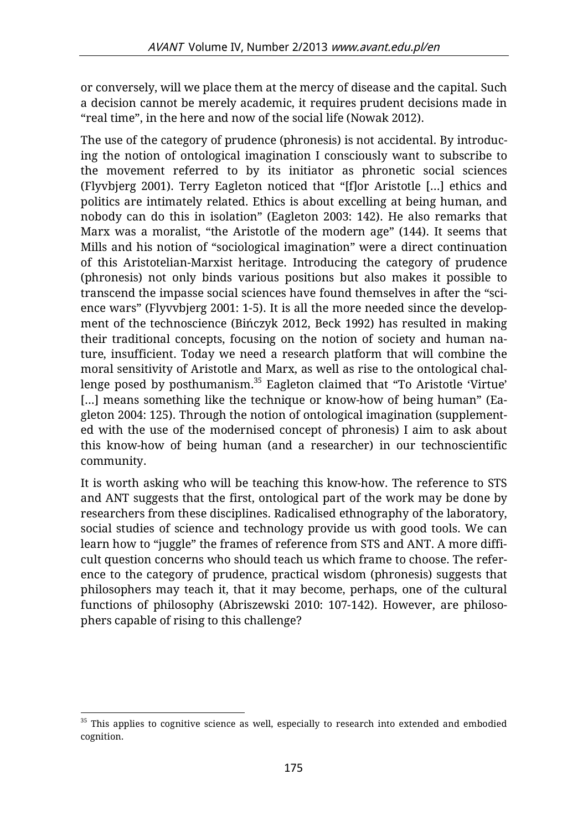or conversely, will we place them at the mercy of disease and the capital. Such a decision cannot be merely academic, it requires prudent decisions made in "real time", in the here and now of the social life (Nowak 2012).

The use of the category of prudence (phronesis) is not accidental. By introducing the notion of ontological imagination I consciously want to subscribe to the movement referred to by its initiator as phronetic social sciences (Flyvbjerg 2001). Terry Eagleton noticed that "[f]or Aristotle [...] ethics and politics are intimately related. Ethics is about excelling at being human, and nobody can do this in isolation" (Eagleton 2003: 142). He also remarks that Marx was a moralist, "the Aristotle of the modern age" (144). It seems that Mills and his notion of "sociological imagination" were a direct continuation of this Aristotelian-Marxist heritage. Introducing the category of prudence (phronesis) not only binds various positions but also makes it possible to transcend the impasse social sciences have found themselves in after the "science wars" (Flyvvbjerg 2001: 1-5). It is all the more needed since the development of the technoscience (Bińczyk 2012, Beck 1992) has resulted in making their traditional concepts, focusing on the notion of society and human nature, insufficient. Today we need a research platform that will combine the moral sensitivity of Aristotle and Marx, as well as rise to the ontological challenge posed by posthumanism.<sup>35</sup> Eagleton claimed that "To Aristotle 'Virtue' [...] means something like the technique or know-how of being human" (Eagleton 2004: 125). Through the notion of ontological imagination (supplemented with the use of the modernised concept of phronesis) I aim to ask about this know-how of being human (and a researcher) in our technoscientific community.

It is worth asking who will be teaching this know-how. The reference to STS and ANT suggests that the first, ontological part of the work may be done by researchers from these disciplines. Radicalised ethnography of the laboratory, social studies of science and technology provide us with good tools. We can learn how to "juggle" the frames of reference from STS and ANT. A more difficult question concerns who should teach us which frame to choose. The reference to the category of prudence, practical wisdom (phronesis) suggests that philosophers may teach it, that it may become, perhaps, one of the cultural functions of philosophy (Abriszewski 2010: 107-142). However, are philosophers capable of rising to this challenge?

 $\ddot{\phantom{a}}$  $35$  This applies to cognitive science as well, especially to research into extended and embodied cognition.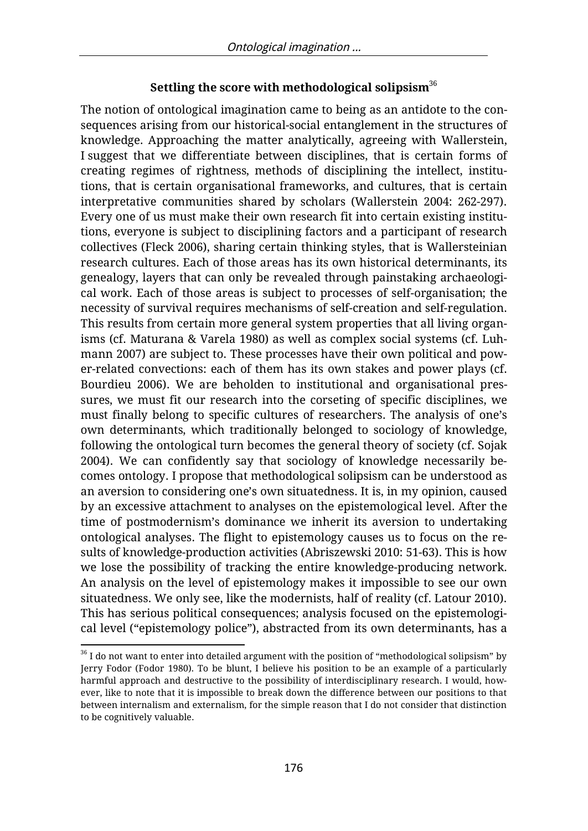# **Settling the score with methodological solipsism**<sup>36</sup>

The notion of ontological imagination came to being as an antidote to the consequences arising from our historical-social entanglement in the structures of knowledge. Approaching the matter analytically, agreeing with Wallerstein, I suggest that we differentiate between disciplines, that is certain forms of creating regimes of rightness, methods of disciplining the intellect, institutions, that is certain organisational frameworks, and cultures, that is certain interpretative communities shared by scholars (Wallerstein 2004: 262-297). Every one of us must make their own research fit into certain existing institutions, everyone is subject to disciplining factors and a participant of research collectives (Fleck 2006), sharing certain thinking styles, that is Wallersteinian research cultures. Each of those areas has its own historical determinants, its genealogy, layers that can only be revealed through painstaking archaeological work. Each of those areas is subject to processes of self-organisation; the necessity of survival requires mechanisms of self-creation and self-regulation. This results from certain more general system properties that all living organisms (cf. Maturana & Varela 1980) as well as complex social systems (cf. Luhmann 2007) are subject to. These processes have their own political and power-related convections: each of them has its own stakes and power plays (cf. Bourdieu 2006). We are beholden to institutional and organisational pressures, we must fit our research into the corseting of specific disciplines, we must finally belong to specific cultures of researchers. The analysis of one's own determinants, which traditionally belonged to sociology of knowledge, following the ontological turn becomes the general theory of society (cf. Sojak 2004). We can confidently say that sociology of knowledge necessarily becomes ontology. I propose that methodological solipsism can be understood as an aversion to considering one's own situatedness. It is, in my opinion, caused by an excessive attachment to analyses on the epistemological level. After the time of postmodernism's dominance we inherit its aversion to undertaking ontological analyses. The flight to epistemology causes us to focus on the results of knowledge-production activities (Abriszewski 2010: 51-63). This is how we lose the possibility of tracking the entire knowledge-producing network. An analysis on the level of epistemology makes it impossible to see our own situatedness. We only see, like the modernists, half of reality (cf. Latour 2010). This has serious political consequences; analysis focused on the epistemological level ("epistemology police"), abstracted from its own determinants, has a

<sup>1</sup>  $36$  I do not want to enter into detailed argument with the position of "methodological solipsism" by Jerry Fodor (Fodor 1980). To be blunt, I believe his position to be an example of a particularly harmful approach and destructive to the possibility of interdisciplinary research. I would, however, like to note that it is impossible to break down the difference between our positions to that between internalism and externalism, for the simple reason that I do not consider that distinction to be cognitively valuable.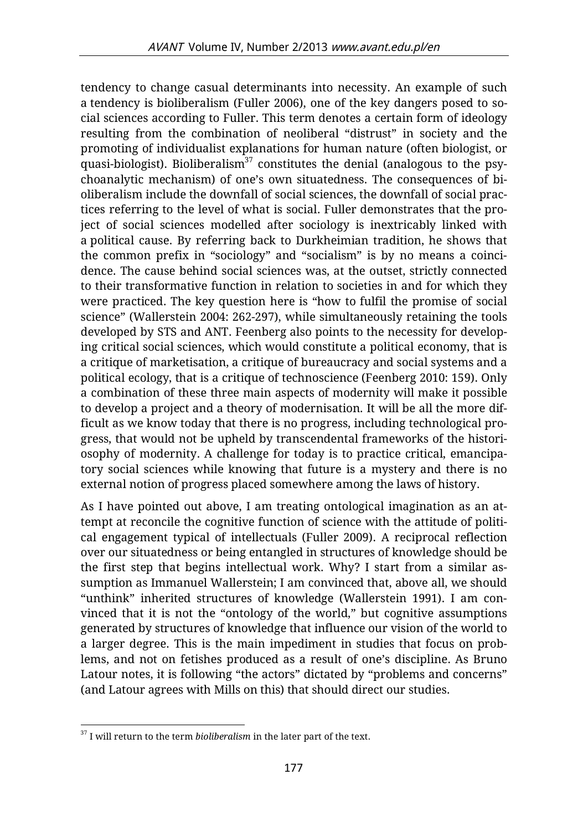tendency to change casual determinants into necessity. An example of such a tendency is bioliberalism (Fuller 2006), one of the key dangers posed to social sciences according to Fuller. This term denotes a certain form of ideology resulting from the combination of neoliberal "distrust" in society and the promoting of individualist explanations for human nature (often biologist, or quasi-biologist). Bioliberalism $37$  constitutes the denial (analogous to the psychoanalytic mechanism) of one's own situatedness. The consequences of bioliberalism include the downfall of social sciences, the downfall of social practices referring to the level of what is social. Fuller demonstrates that the project of social sciences modelled after sociology is inextricably linked with a political cause. By referring back to Durkheimian tradition, he shows that the common prefix in "sociology" and "socialism" is by no means a coincidence. The cause behind social sciences was, at the outset, strictly connected to their transformative function in relation to societies in and for which they were practiced. The key question here is "how to fulfil the promise of social science" (Wallerstein 2004: 262-297), while simultaneously retaining the tools developed by STS and ANT. Feenberg also points to the necessity for developing critical social sciences, which would constitute a political economy, that is a critique of marketisation, a critique of bureaucracy and social systems and a political ecology, that is a critique of technoscience (Feenberg 2010: 159). Only a combination of these three main aspects of modernity will make it possible to develop a project and a theory of modernisation. It will be all the more difficult as we know today that there is no progress, including technological progress, that would not be upheld by transcendental frameworks of the historiosophy of modernity. A challenge for today is to practice critical, emancipatory social sciences while knowing that future is a mystery and there is no external notion of progress placed somewhere among the laws of history.

As I have pointed out above, I am treating ontological imagination as an attempt at reconcile the cognitive function of science with the attitude of political engagement typical of intellectuals (Fuller 2009). A reciprocal reflection over our situatedness or being entangled in structures of knowledge should be the first step that begins intellectual work. Why? I start from a similar assumption as Immanuel Wallerstein; I am convinced that, above all, we should "unthink" inherited structures of knowledge (Wallerstein 1991). I am convinced that it is not the "ontology of the world," but cognitive assumptions generated by structures of knowledge that influence our vision of the world to a larger degree. This is the main impediment in studies that focus on problems, and not on fetishes produced as a result of one's discipline. As Bruno Latour notes, it is following "the actors" dictated by "problems and concerns" (and Latour agrees with Mills on this) that should direct our studies.

 $\overline{a}$ <sup>37</sup> I will return to the term *bioliberalism* in the later part of the text.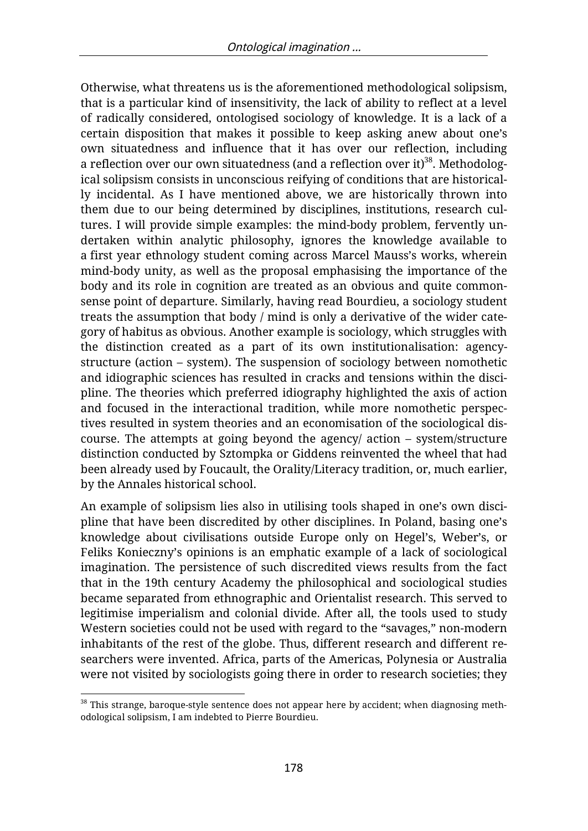Otherwise, what threatens us is the aforementioned methodological solipsism, that is a particular kind of insensitivity, the lack of ability to reflect at a level of radically considered, ontologised sociology of knowledge. It is a lack of a certain disposition that makes it possible to keep asking anew about one's own situatedness and influence that it has over our reflection, including a reflection over our own situatedness (and a reflection over it)<sup>38</sup>. Methodological solipsism consists in unconscious reifying of conditions that are historically incidental. As I have mentioned above, we are historically thrown into them due to our being determined by disciplines, institutions, research cultures. I will provide simple examples: the mind-body problem, fervently undertaken within analytic philosophy, ignores the knowledge available to a first year ethnology student coming across Marcel Mauss's works, wherein mind-body unity, as well as the proposal emphasising the importance of the body and its role in cognition are treated as an obvious and quite commonsense point of departure. Similarly, having read Bourdieu, a sociology student treats the assumption that body / mind is only a derivative of the wider category of habitus as obvious. Another example is sociology, which struggles with the distinction created as a part of its own institutionalisation: agencystructure (action – system). The suspension of sociology between nomothetic and idiographic sciences has resulted in cracks and tensions within the discipline. The theories which preferred idiography highlighted the axis of action and focused in the interactional tradition, while more nomothetic perspectives resulted in system theories and an economisation of the sociological discourse. The attempts at going beyond the agency/ action – system/structure distinction conducted by Sztompka or Giddens reinvented the wheel that had been already used by Foucault, the Orality/Literacy tradition, or, much earlier, by the Annales historical school.

An example of solipsism lies also in utilising tools shaped in one's own discipline that have been discredited by other disciplines. In Poland, basing one's knowledge about civilisations outside Europe only on Hegel's, Weber's, or Feliks Konieczny's opinions is an emphatic example of a lack of sociological imagination. The persistence of such discredited views results from the fact that in the 19th century Academy the philosophical and sociological studies became separated from ethnographic and Orientalist research. This served to legitimise imperialism and colonial divide. After all, the tools used to study Western societies could not be used with regard to the "savages," non-modern inhabitants of the rest of the globe. Thus, different research and different researchers were invented. Africa, parts of the Americas, Polynesia or Australia were not visited by sociologists going there in order to research societies; they

 $\overline{a}$  $^{38}$  This strange, baroque-style sentence does not appear here by accident; when diagnosing methodological solipsism, I am indebted to Pierre Bourdieu.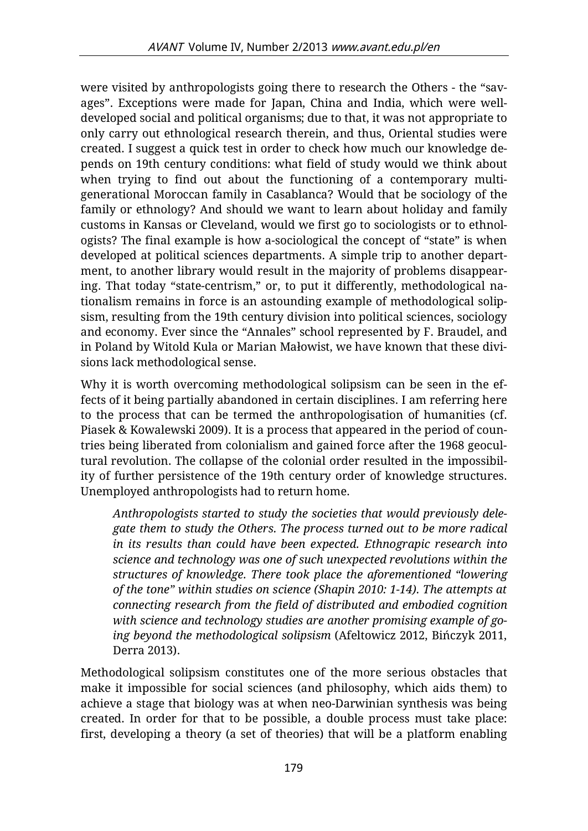were visited by anthropologists going there to research the Others - the "savages". Exceptions were made for Japan, China and India, which were welldeveloped social and political organisms; due to that, it was not appropriate to only carry out ethnological research therein, and thus, Oriental studies were created. I suggest a quick test in order to check how much our knowledge depends on 19th century conditions: what field of study would we think about when trying to find out about the functioning of a contemporary multigenerational Moroccan family in Casablanca? Would that be sociology of the family or ethnology? And should we want to learn about holiday and family customs in Kansas or Cleveland, would we first go to sociologists or to ethnologists? The final example is how a-sociological the concept of "state" is when developed at political sciences departments. A simple trip to another department, to another library would result in the majority of problems disappearing. That today "state-centrism," or, to put it differently, methodological nationalism remains in force is an astounding example of methodological solipsism, resulting from the 19th century division into political sciences, sociology and economy. Ever since the "Annales" school represented by F. Braudel, and in Poland by Witold Kula or Marian Małowist, we have known that these divisions lack methodological sense.

Why it is worth overcoming methodological solipsism can be seen in the effects of it being partially abandoned in certain disciplines. I am referring here to the process that can be termed the anthropologisation of humanities (cf. Piasek & Kowalewski 2009). It is a process that appeared in the period of countries being liberated from colonialism and gained force after the 1968 geocultural revolution. The collapse of the colonial order resulted in the impossibility of further persistence of the 19th century order of knowledge structures. Unemployed anthropologists had to return home.

*Anthropologists started to study the societies that would previously delegate them to study the Others. The process turned out to be more radical in its results than could have been expected. Ethnograpic research into science and technology was one of such unexpected revolutions within the structures of knowledge. There took place the aforementioned "lowering of the tone" within studies on science (Shapin 2010: 1-14). The attempts at connecting research from the field of distributed and embodied cognition with science and technology studies are another promising example of going beyond the methodological solipsism* (Afeltowicz 2012, Bińczyk 2011, Derra 2013).

Methodological solipsism constitutes one of the more serious obstacles that make it impossible for social sciences (and philosophy, which aids them) to achieve a stage that biology was at when neo-Darwinian synthesis was being created. In order for that to be possible, a double process must take place: first, developing a theory (a set of theories) that will be a platform enabling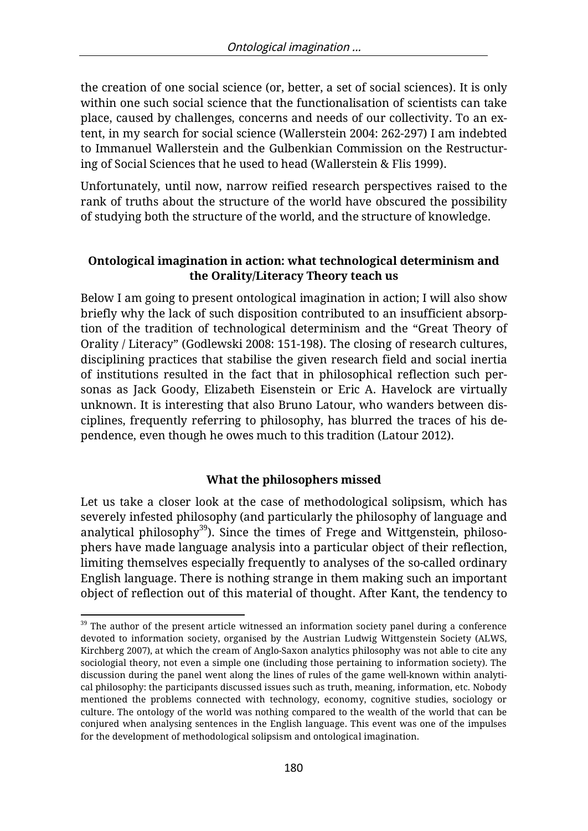the creation of one social science (or, better, a set of social sciences). It is only within one such social science that the functionalisation of scientists can take place, caused by challenges, concerns and needs of our collectivity. To an extent, in my search for social science (Wallerstein 2004: 262-297) I am indebted to Immanuel Wallerstein and the Gulbenkian Commission on the Restructuring of Social Sciences that he used to head (Wallerstein & Flis 1999).

Unfortunately, until now, narrow reified research perspectives raised to the rank of truths about the structure of the world have obscured the possibility of studying both the structure of the world, and the structure of knowledge.

# **Ontological imagination in action: what technological determinism and the Orality/Literacy Theory teach us**

Below I am going to present ontological imagination in action; I will also show briefly why the lack of such disposition contributed to an insufficient absorption of the tradition of technological determinism and the "Great Theory of Orality / Literacy" (Godlewski 2008: 151-198). The closing of research cultures, disciplining practices that stabilise the given research field and social inertia of institutions resulted in the fact that in philosophical reflection such personas as Jack Goody, Elizabeth Eisenstein or Eric A. Havelock are virtually unknown. It is interesting that also Bruno Latour, who wanders between disciplines, frequently referring to philosophy, has blurred the traces of his dependence, even though he owes much to this tradition (Latour 2012).

### **What the philosophers missed**

Let us take a closer look at the case of methodological solipsism, which has severely infested philosophy (and particularly the philosophy of language and analytical philosophy $39$ ). Since the times of Frege and Wittgenstein, philosophers have made language analysis into a particular object of their reflection, limiting themselves especially frequently to analyses of the so-called ordinary English language. There is nothing strange in them making such an important object of reflection out of this material of thought. After Kant, the tendency to

 $\overline{a}$ 

 $39$  The author of the present article witnessed an information society panel during a conference devoted to information society, organised by the Austrian Ludwig Wittgenstein Society (ALWS, Kirchberg 2007), at which the cream of Anglo-Saxon analytics philosophy was not able to cite any sociologial theory, not even a simple one (including those pertaining to information society). The discussion during the panel went along the lines of rules of the game well-known within analytical philosophy: the participants discussed issues such as truth, meaning, information, etc. Nobody mentioned the problems connected with technology, economy, cognitive studies, sociology or culture. The ontology of the world was nothing compared to the wealth of the world that can be conjured when analysing sentences in the English language. This event was one of the impulses for the development of methodological solipsism and ontological imagination.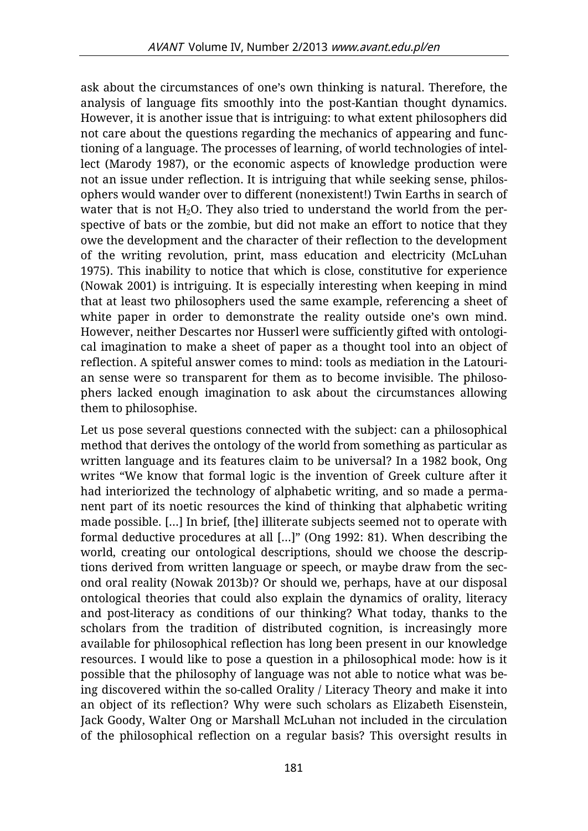ask about the circumstances of one's own thinking is natural. Therefore, the analysis of language fits smoothly into the post-Kantian thought dynamics. However, it is another issue that is intriguing: to what extent philosophers did not care about the questions regarding the mechanics of appearing and functioning of a language. The processes of learning, of world technologies of intellect (Marody 1987), or the economic aspects of knowledge production were not an issue under reflection. It is intriguing that while seeking sense, philosophers would wander over to different (nonexistent!) Twin Earths in search of water that is not  $H_2O$ . They also tried to understand the world from the perspective of bats or the zombie, but did not make an effort to notice that they owe the development and the character of their reflection to the development of the writing revolution, print, mass education and electricity (McLuhan 1975). This inability to notice that which is close, constitutive for experience (Nowak 2001) is intriguing. It is especially interesting when keeping in mind that at least two philosophers used the same example, referencing a sheet of white paper in order to demonstrate the reality outside one's own mind. However, neither Descartes nor Husserl were sufficiently gifted with ontological imagination to make a sheet of paper as a thought tool into an object of reflection. A spiteful answer comes to mind: tools as mediation in the Latourian sense were so transparent for them as to become invisible. The philosophers lacked enough imagination to ask about the circumstances allowing them to philosophise.

Let us pose several questions connected with the subject: can a philosophical method that derives the ontology of the world from something as particular as written language and its features claim to be universal? In a 1982 book, Ong writes "We know that formal logic is the invention of Greek culture after it had interiorized the technology of alphabetic writing, and so made a permanent part of its noetic resources the kind of thinking that alphabetic writing made possible. [...] In brief, [the] illiterate subjects seemed not to operate with formal deductive procedures at all [...]" (Ong 1992: 81). When describing the world, creating our ontological descriptions, should we choose the descriptions derived from written language or speech, or maybe draw from the second oral reality (Nowak 2013b)? Or should we, perhaps, have at our disposal ontological theories that could also explain the dynamics of orality, literacy and post-literacy as conditions of our thinking? What today, thanks to the scholars from the tradition of distributed cognition, is increasingly more available for philosophical reflection has long been present in our knowledge resources. I would like to pose a question in a philosophical mode: how is it possible that the philosophy of language was not able to notice what was being discovered within the so-called Orality / Literacy Theory and make it into an object of its reflection? Why were such scholars as Elizabeth Eisenstein, Jack Goody, Walter Ong or Marshall McLuhan not included in the circulation of the philosophical reflection on a regular basis? This oversight results in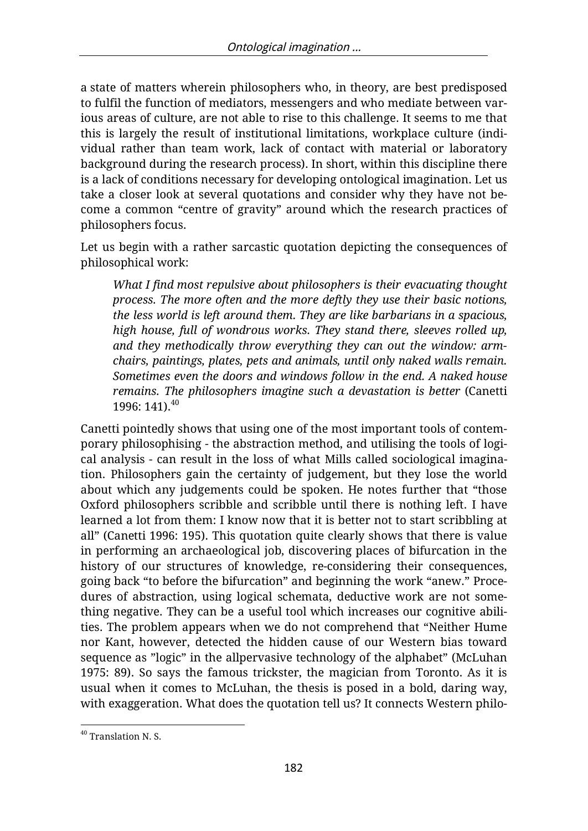a state of matters wherein philosophers who, in theory, are best predisposed to fulfil the function of mediators, messengers and who mediate between various areas of culture, are not able to rise to this challenge. It seems to me that this is largely the result of institutional limitations, workplace culture (individual rather than team work, lack of contact with material or laboratory background during the research process). In short, within this discipline there is a lack of conditions necessary for developing ontological imagination. Let us take a closer look at several quotations and consider why they have not become a common "centre of gravity" around which the research practices of philosophers focus.

Let us begin with a rather sarcastic quotation depicting the consequences of philosophical work:

*What I find most repulsive about philosophers is their evacuating thought process. The more often and the more deftly they use their basic notions, the less world is left around them. They are like barbarians in a spacious, high house, full of wondrous works. They stand there, sleeves rolled up, and they methodically throw everything they can out the window: armchairs, paintings, plates, pets and animals, until only naked walls remain. Sometimes even the doors and windows follow in the end. A naked house remains. The philosophers imagine such a devastation is better* (Canetti  $1996:141$ ). $^{40}$ 

Canetti pointedly shows that using one of the most important tools of contemporary philosophising - the abstraction method, and utilising the tools of logical analysis - can result in the loss of what Mills called sociological imagination. Philosophers gain the certainty of judgement, but they lose the world about which any judgements could be spoken. He notes further that "those Oxford philosophers scribble and scribble until there is nothing left. I have learned a lot from them: I know now that it is better not to start scribbling at all" (Canetti 1996: 195). This quotation quite clearly shows that there is value in performing an archaeological job, discovering places of bifurcation in the history of our structures of knowledge, re-considering their consequences, going back "to before the bifurcation" and beginning the work "anew." Procedures of abstraction, using logical schemata, deductive work are not something negative. They can be a useful tool which increases our cognitive abilities. The problem appears when we do not comprehend that "Neither Hume nor Kant, however, detected the hidden cause of our Western bias toward sequence as "logic" in the allpervasive technology of the alphabet" (McLuhan 1975: 89). So says the famous trickster, the magician from Toronto. As it is usual when it comes to McLuhan, the thesis is posed in a bold, daring way, with exaggeration. What does the quotation tell us? It connects Western philo-

 $\overline{a}$ <sup>40</sup> Translation N. S.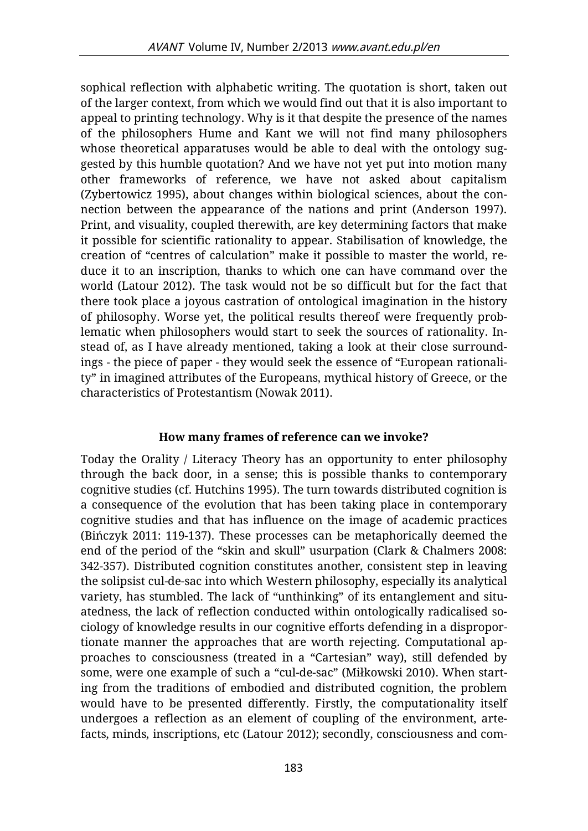sophical reflection with alphabetic writing. The quotation is short, taken out of the larger context, from which we would find out that it is also important to appeal to printing technology. Why is it that despite the presence of the names of the philosophers Hume and Kant we will not find many philosophers whose theoretical apparatuses would be able to deal with the ontology suggested by this humble quotation? And we have not yet put into motion many other frameworks of reference, we have not asked about capitalism (Zybertowicz 1995), about changes within biological sciences, about the connection between the appearance of the nations and print (Anderson 1997). Print, and visuality, coupled therewith, are key determining factors that make it possible for scientific rationality to appear. Stabilisation of knowledge, the creation of "centres of calculation" make it possible to master the world, reduce it to an inscription, thanks to which one can have command over the world (Latour 2012). The task would not be so difficult but for the fact that there took place a joyous castration of ontological imagination in the history of philosophy. Worse yet, the political results thereof were frequently problematic when philosophers would start to seek the sources of rationality. Instead of, as I have already mentioned, taking a look at their close surroundings - the piece of paper - they would seek the essence of "European rationality" in imagined attributes of the Europeans, mythical history of Greece, or the characteristics of Protestantism (Nowak 2011).

### **How many frames of reference can we invoke?**

Today the Orality / Literacy Theory has an opportunity to enter philosophy through the back door, in a sense; this is possible thanks to contemporary cognitive studies (cf. Hutchins 1995). The turn towards distributed cognition is a consequence of the evolution that has been taking place in contemporary cognitive studies and that has influence on the image of academic practices (Bińczyk 2011: 119-137). These processes can be metaphorically deemed the end of the period of the "skin and skull" usurpation (Clark & Chalmers 2008: 342-357). Distributed cognition constitutes another, consistent step in leaving the solipsist cul-de-sac into which Western philosophy, especially its analytical variety, has stumbled. The lack of "unthinking" of its entanglement and situatedness, the lack of reflection conducted within ontologically radicalised sociology of knowledge results in our cognitive efforts defending in a disproportionate manner the approaches that are worth rejecting. Computational approaches to consciousness (treated in a "Cartesian" way), still defended by some, were one example of such a "cul-de-sac" (Miłkowski 2010). When starting from the traditions of embodied and distributed cognition, the problem would have to be presented differently. Firstly, the computationality itself undergoes a reflection as an element of coupling of the environment, artefacts, minds, inscriptions, etc (Latour 2012); secondly, consciousness and com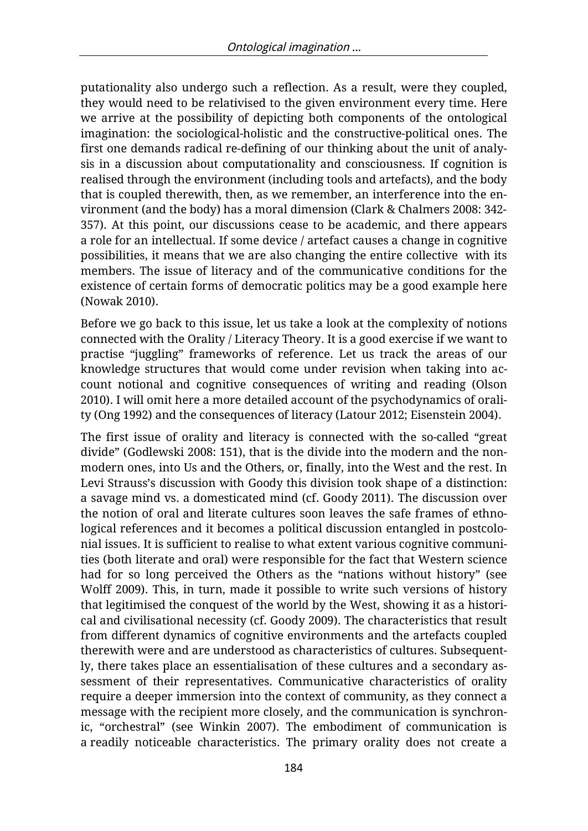putationality also undergo such a reflection. As a result, were they coupled, they would need to be relativised to the given environment every time. Here we arrive at the possibility of depicting both components of the ontological imagination: the sociological-holistic and the constructive-political ones. The first one demands radical re-defining of our thinking about the unit of analysis in a discussion about computationality and consciousness. If cognition is realised through the environment (including tools and artefacts), and the body that is coupled therewith, then, as we remember, an interference into the environment (and the body) has a moral dimension (Clark & Chalmers 2008: 342- 357). At this point, our discussions cease to be academic, and there appears a role for an intellectual. If some device / artefact causes a change in cognitive possibilities, it means that we are also changing the entire collective with its members. The issue of literacy and of the communicative conditions for the existence of certain forms of democratic politics may be a good example here (Nowak 2010).

Before we go back to this issue, let us take a look at the complexity of notions connected with the Orality / Literacy Theory. It is a good exercise if we want to practise "juggling" frameworks of reference. Let us track the areas of our knowledge structures that would come under revision when taking into account notional and cognitive consequences of writing and reading (Olson 2010). I will omit here a more detailed account of the psychodynamics of orality (Ong 1992) and the consequences of literacy (Latour 2012; Eisenstein 2004).

The first issue of orality and literacy is connected with the so-called "great divide" (Godlewski 2008: 151), that is the divide into the modern and the nonmodern ones, into Us and the Others, or, finally, into the West and the rest. In Levi Strauss's discussion with Goody this division took shape of a distinction: a savage mind vs. a domesticated mind (cf. Goody 2011). The discussion over the notion of oral and literate cultures soon leaves the safe frames of ethnological references and it becomes a political discussion entangled in postcolonial issues. It is sufficient to realise to what extent various cognitive communities (both literate and oral) were responsible for the fact that Western science had for so long perceived the Others as the "nations without history" (see Wolff 2009). This, in turn, made it possible to write such versions of history that legitimised the conquest of the world by the West, showing it as a historical and civilisational necessity (cf. Goody 2009). The characteristics that result from different dynamics of cognitive environments and the artefacts coupled therewith were and are understood as characteristics of cultures. Subsequently, there takes place an essentialisation of these cultures and a secondary assessment of their representatives. Communicative characteristics of orality require a deeper immersion into the context of community, as they connect a message with the recipient more closely, and the communication is synchronic, "orchestral" (see Winkin 2007). The embodiment of communication is a readily noticeable characteristics. The primary orality does not create a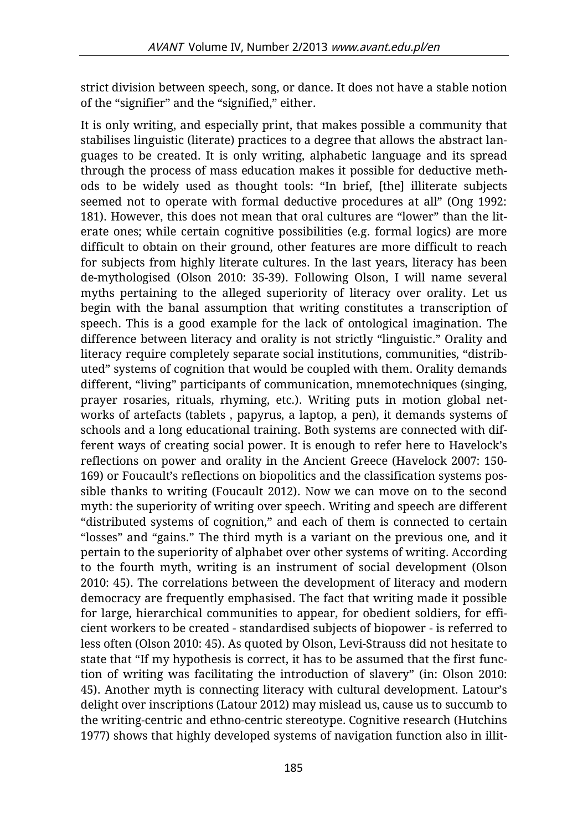strict division between speech, song, or dance. It does not have a stable notion of the "signifier" and the "signified," either.

It is only writing, and especially print, that makes possible a community that stabilises linguistic (literate) practices to a degree that allows the abstract languages to be created. It is only writing, alphabetic language and its spread through the process of mass education makes it possible for deductive methods to be widely used as thought tools: "In brief, [the] illiterate subjects seemed not to operate with formal deductive procedures at all" (Ong 1992: 181). However, this does not mean that oral cultures are "lower" than the literate ones; while certain cognitive possibilities (e.g. formal logics) are more difficult to obtain on their ground, other features are more difficult to reach for subjects from highly literate cultures. In the last years, literacy has been de-mythologised (Olson 2010: 35-39). Following Olson, I will name several myths pertaining to the alleged superiority of literacy over orality. Let us begin with the banal assumption that writing constitutes a transcription of speech. This is a good example for the lack of ontological imagination. The difference between literacy and orality is not strictly "linguistic." Orality and literacy require completely separate social institutions, communities, "distributed" systems of cognition that would be coupled with them. Orality demands different, "living" participants of communication, mnemotechniques (singing, prayer rosaries, rituals, rhyming, etc.). Writing puts in motion global networks of artefacts (tablets , papyrus, a laptop, a pen), it demands systems of schools and a long educational training. Both systems are connected with different ways of creating social power. It is enough to refer here to Havelock's reflections on power and orality in the Ancient Greece (Havelock 2007: 150- 169) or Foucault's reflections on biopolitics and the classification systems possible thanks to writing (Foucault 2012). Now we can move on to the second myth: the superiority of writing over speech. Writing and speech are different "distributed systems of cognition," and each of them is connected to certain "losses" and "gains." The third myth is a variant on the previous one, and it pertain to the superiority of alphabet over other systems of writing. According to the fourth myth, writing is an instrument of social development (Olson 2010: 45). The correlations between the development of literacy and modern democracy are frequently emphasised. The fact that writing made it possible for large, hierarchical communities to appear, for obedient soldiers, for efficient workers to be created - standardised subjects of biopower - is referred to less often (Olson 2010: 45). As quoted by Olson, Levi-Strauss did not hesitate to state that "If my hypothesis is correct, it has to be assumed that the first function of writing was facilitating the introduction of slavery" (in: Olson 2010: 45). Another myth is connecting literacy with cultural development. Latour's delight over inscriptions (Latour 2012) may mislead us, cause us to succumb to the writing-centric and ethno-centric stereotype. Cognitive research (Hutchins 1977) shows that highly developed systems of navigation function also in illit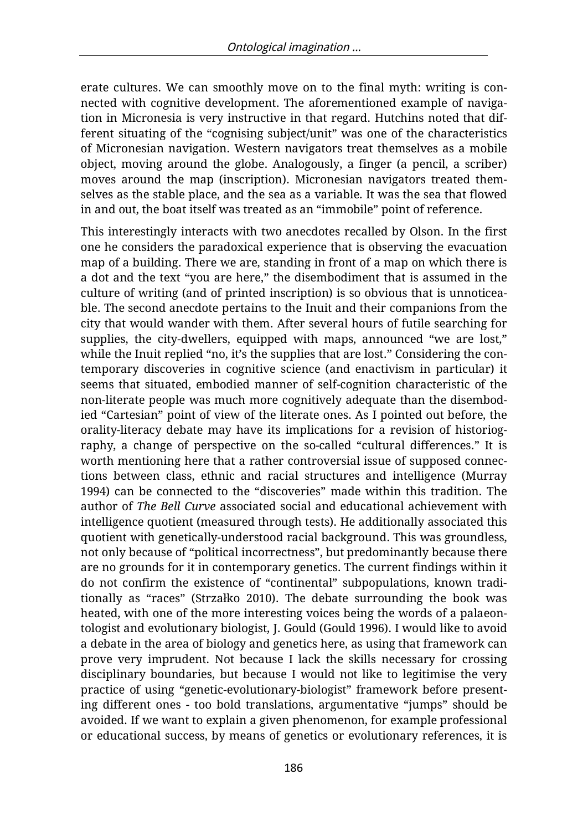erate cultures. We can smoothly move on to the final myth: writing is connected with cognitive development. The aforementioned example of navigation in Micronesia is very instructive in that regard. Hutchins noted that different situating of the "cognising subject/unit" was one of the characteristics of Micronesian navigation. Western navigators treat themselves as a mobile object, moving around the globe. Analogously, a finger (a pencil, a scriber) moves around the map (inscription). Micronesian navigators treated themselves as the stable place, and the sea as a variable. It was the sea that flowed in and out, the boat itself was treated as an "immobile" point of reference.

This interestingly interacts with two anecdotes recalled by Olson. In the first one he considers the paradoxical experience that is observing the evacuation map of a building. There we are, standing in front of a map on which there is a dot and the text "you are here," the disembodiment that is assumed in the culture of writing (and of printed inscription) is so obvious that is unnoticeable. The second anecdote pertains to the Inuit and their companions from the city that would wander with them. After several hours of futile searching for supplies, the city-dwellers, equipped with maps, announced "we are lost," while the Inuit replied "no, it's the supplies that are lost." Considering the contemporary discoveries in cognitive science (and enactivism in particular) it seems that situated, embodied manner of self-cognition characteristic of the non-literate people was much more cognitively adequate than the disembodied "Cartesian" point of view of the literate ones. As I pointed out before, the orality-literacy debate may have its implications for a revision of historiography, a change of perspective on the so-called "cultural differences." It is worth mentioning here that a rather controversial issue of supposed connections between class, ethnic and racial structures and intelligence (Murray 1994) can be connected to the "discoveries" made within this tradition. The author of *The Bell Curve* associated social and educational achievement with intelligence quotient (measured through tests). He additionally associated this quotient with genetically-understood racial background. This was groundless, not only because of "political incorrectness", but predominantly because there are no grounds for it in contemporary genetics. The current findings within it do not confirm the existence of "continental" subpopulations, known traditionally as "races" (Strzałko 2010). The debate surrounding the book was heated, with one of the more interesting voices being the words of a palaeontologist and evolutionary biologist, J. Gould (Gould 1996). I would like to avoid a debate in the area of biology and genetics here, as using that framework can prove very imprudent. Not because I lack the skills necessary for crossing disciplinary boundaries, but because I would not like to legitimise the very practice of using "genetic-evolutionary-biologist" framework before presenting different ones - too bold translations, argumentative "jumps" should be avoided. If we want to explain a given phenomenon, for example professional or educational success, by means of genetics or evolutionary references, it is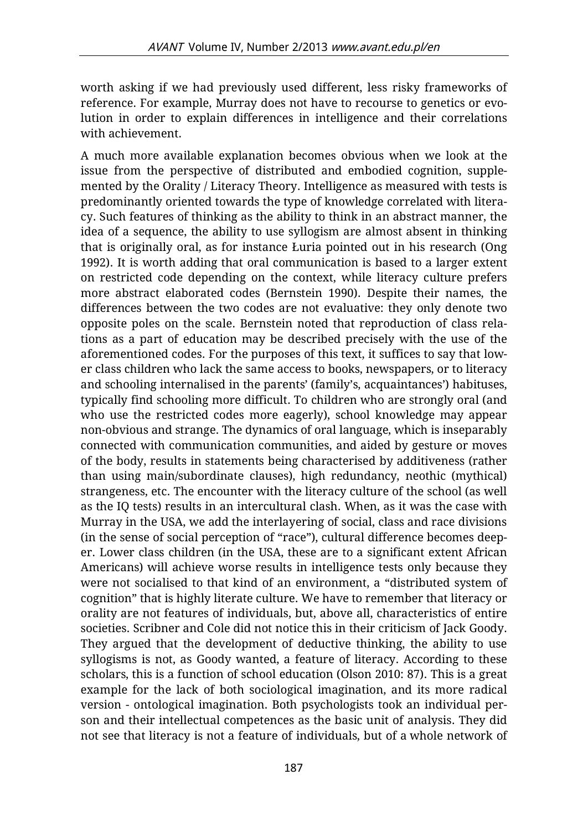worth asking if we had previously used different, less risky frameworks of reference. For example, Murray does not have to recourse to genetics or evolution in order to explain differences in intelligence and their correlations with achievement.

A much more available explanation becomes obvious when we look at the issue from the perspective of distributed and embodied cognition, supplemented by the Orality / Literacy Theory. Intelligence as measured with tests is predominantly oriented towards the type of knowledge correlated with literacy. Such features of thinking as the ability to think in an abstract manner, the idea of a sequence, the ability to use syllogism are almost absent in thinking that is originally oral, as for instance Łuria pointed out in his research (Ong 1992). It is worth adding that oral communication is based to a larger extent on restricted code depending on the context, while literacy culture prefers more abstract elaborated codes (Bernstein 1990). Despite their names, the differences between the two codes are not evaluative: they only denote two opposite poles on the scale. Bernstein noted that reproduction of class relations as a part of education may be described precisely with the use of the aforementioned codes. For the purposes of this text, it suffices to say that lower class children who lack the same access to books, newspapers, or to literacy and schooling internalised in the parents' (family's, acquaintances') habituses, typically find schooling more difficult. To children who are strongly oral (and who use the restricted codes more eagerly), school knowledge may appear non-obvious and strange. The dynamics of oral language, which is inseparably connected with communication communities, and aided by gesture or moves of the body, results in statements being characterised by additiveness (rather than using main/subordinate clauses), high redundancy, neothic (mythical) strangeness, etc. The encounter with the literacy culture of the school (as well as the IQ tests) results in an intercultural clash. When, as it was the case with Murray in the USA, we add the interlayering of social, class and race divisions (in the sense of social perception of "race"), cultural difference becomes deeper. Lower class children (in the USA, these are to a significant extent African Americans) will achieve worse results in intelligence tests only because they were not socialised to that kind of an environment, a "distributed system of cognition" that is highly literate culture. We have to remember that literacy or orality are not features of individuals, but, above all, characteristics of entire societies. Scribner and Cole did not notice this in their criticism of Jack Goody. They argued that the development of deductive thinking, the ability to use syllogisms is not, as Goody wanted, a feature of literacy. According to these scholars, this is a function of school education (Olson 2010: 87). This is a great example for the lack of both sociological imagination, and its more radical version - ontological imagination. Both psychologists took an individual person and their intellectual competences as the basic unit of analysis. They did not see that literacy is not a feature of individuals, but of a whole network of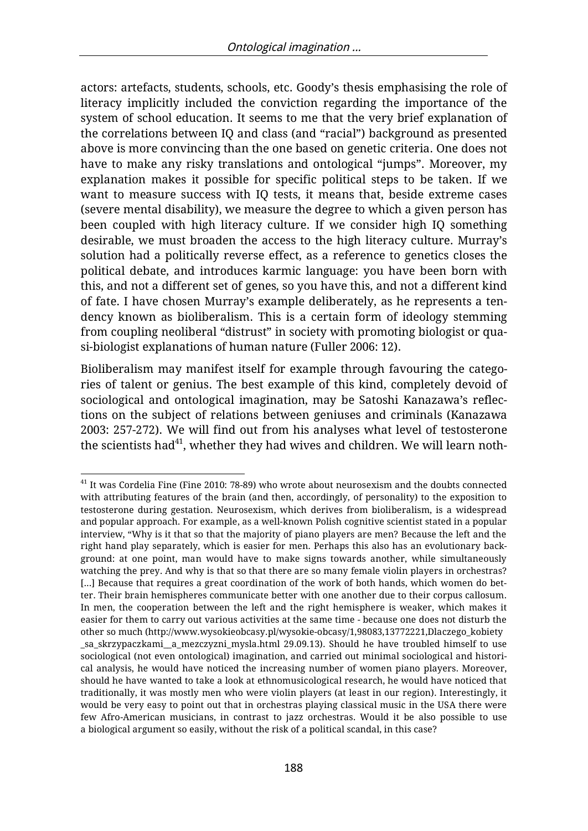actors: artefacts, students, schools, etc. Goody's thesis emphasising the role of literacy implicitly included the conviction regarding the importance of the system of school education. It seems to me that the very brief explanation of the correlations between IQ and class (and "racial") background as presented above is more convincing than the one based on genetic criteria. One does not have to make any risky translations and ontological "jumps". Moreover, my explanation makes it possible for specific political steps to be taken. If we want to measure success with IQ tests, it means that, beside extreme cases (severe mental disability), we measure the degree to which a given person has been coupled with high literacy culture. If we consider high IQ something desirable, we must broaden the access to the high literacy culture. Murray's solution had a politically reverse effect, as a reference to genetics closes the political debate, and introduces karmic language: you have been born with this, and not a different set of genes, so you have this, and not a different kind of fate. I have chosen Murray's example deliberately, as he represents a tendency known as bioliberalism. This is a certain form of ideology stemming from coupling neoliberal "distrust" in society with promoting biologist or quasi-biologist explanations of human nature (Fuller 2006: 12).

Bioliberalism may manifest itself for example through favouring the categories of talent or genius. The best example of this kind, completely devoid of sociological and ontological imagination, may be Satoshi Kanazawa's reflections on the subject of relations between geniuses and criminals (Kanazawa 2003: 257-272). We will find out from his analyses what level of testosterone the scientists had $41$ , whether they had wives and children. We will learn noth-

<sup>1</sup>  $^{41}$  It was Cordelia Fine (Fine 2010: 78-89) who wrote about neurosexism and the doubts connected with attributing features of the brain (and then, accordingly, of personality) to the exposition to testosterone during gestation. Neurosexism, which derives from bioliberalism, is a widespread and popular approach. For example, as a well-known Polish cognitive scientist stated in a popular interview, "Why is it that so that the majority of piano players are men? Because the left and the right hand play separately, which is easier for men. Perhaps this also has an evolutionary background: at one point, man would have to make signs towards another, while simultaneously watching the prey. And why is that so that there are so many female violin players in orchestras? [...] Because that requires a great coordination of the work of both hands, which women do better. Their brain hemispheres communicate better with one another due to their corpus callosum. In men, the cooperation between the left and the right hemisphere is weaker, which makes it easier for them to carry out various activities at the same time - because one does not disturb the other so much (http://www.wysokieobcasy.pl/wysokie-obcasy/1,98083,13772221,Dlaczego\_kobiety \_sa\_skrzypaczkami\_\_a\_mezczyzni\_mysla.html 29.09.13). Should he have troubled himself to use sociological (not even ontological) imagination, and carried out minimal sociological and historical analysis, he would have noticed the increasing number of women piano players. Moreover, should he have wanted to take a look at ethnomusicological research, he would have noticed that traditionally, it was mostly men who were violin players (at least in our region). Interestingly, it would be very easy to point out that in orchestras playing classical music in the USA there were few Afro-American musicians, in contrast to jazz orchestras. Would it be also possible to use a biological argument so easily, without the risk of a political scandal, in this case?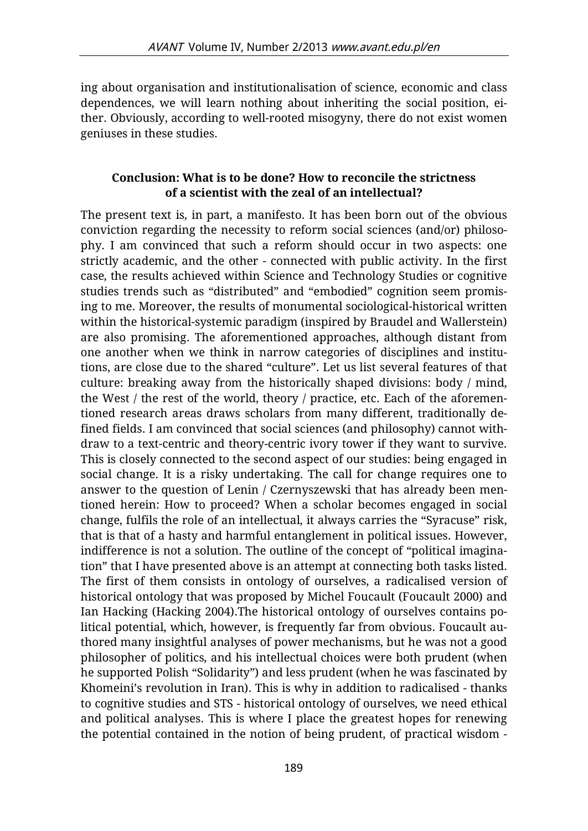ing about organisation and institutionalisation of science, economic and class dependences, we will learn nothing about inheriting the social position, either. Obviously, according to well-rooted misogyny, there do not exist women geniuses in these studies.

# **Conclusion: What is to be done? How to reconcile the strictness of a scientist with the zeal of an intellectual?**

The present text is, in part, a manifesto. It has been born out of the obvious conviction regarding the necessity to reform social sciences (and/or) philosophy. I am convinced that such a reform should occur in two aspects: one strictly academic, and the other - connected with public activity. In the first case, the results achieved within Science and Technology Studies or cognitive studies trends such as "distributed" and "embodied" cognition seem promising to me. Moreover, the results of monumental sociological-historical written within the historical-systemic paradigm (inspired by Braudel and Wallerstein) are also promising. The aforementioned approaches, although distant from one another when we think in narrow categories of disciplines and institutions, are close due to the shared "culture". Let us list several features of that culture: breaking away from the historically shaped divisions: body / mind, the West / the rest of the world, theory / practice, etc. Each of the aforementioned research areas draws scholars from many different, traditionally defined fields. I am convinced that social sciences (and philosophy) cannot withdraw to a text-centric and theory-centric ivory tower if they want to survive. This is closely connected to the second aspect of our studies: being engaged in social change. It is a risky undertaking. The call for change requires one to answer to the question of Lenin / Czernyszewski that has already been mentioned herein: How to proceed? When a scholar becomes engaged in social change, fulfils the role of an intellectual, it always carries the "Syracuse" risk, that is that of a hasty and harmful entanglement in political issues. However, indifference is not a solution. The outline of the concept of "political imagination" that I have presented above is an attempt at connecting both tasks listed. The first of them consists in ontology of ourselves, a radicalised version of historical ontology that was proposed by Michel Foucault (Foucault 2000) and Ian Hacking (Hacking 2004).The historical ontology of ourselves contains political potential, which, however, is frequently far from obvious. Foucault authored many insightful analyses of power mechanisms, but he was not a good philosopher of politics, and his intellectual choices were both prudent (when he supported Polish "Solidarity") and less prudent (when he was fascinated by Khomeini's revolution in Iran). This is why in addition to radicalised - thanks to cognitive studies and STS - historical ontology of ourselves, we need ethical and political analyses. This is where I place the greatest hopes for renewing the potential contained in the notion of being prudent, of practical wisdom -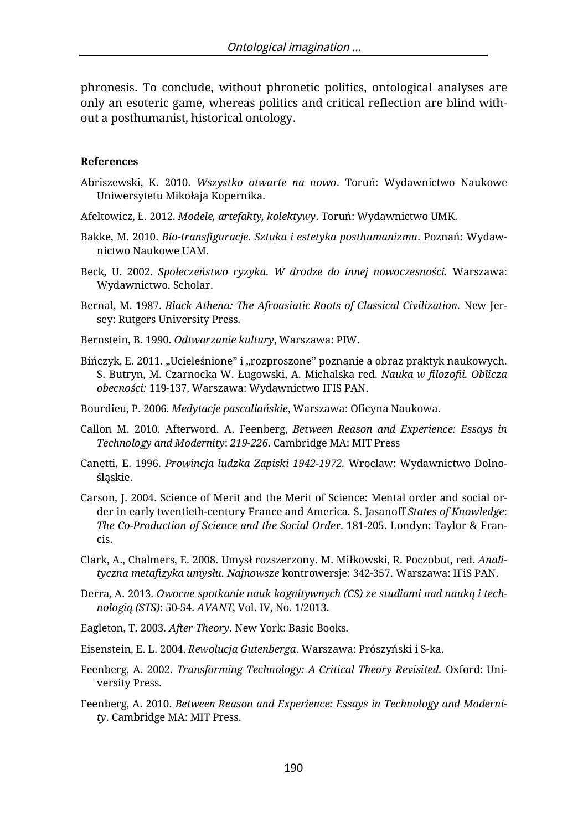phronesis. To conclude, without phronetic politics, ontological analyses are only an esoteric game, whereas politics and critical reflection are blind without a posthumanist, historical ontology.

#### **References**

- Abriszewski, K. 2010. *Wszystko otwarte na nowo*. Toruń: Wydawnictwo Naukowe Uniwersytetu Mikołaja Kopernika.
- Afeltowicz, Ł. 2012. *Modele, artefakty, kolektywy*. Toruń: Wydawnictwo UMK.
- Bakke, M. 2010. *Bio-transfiguracje. Sztuka i estetyka posthumanizmu*. Poznań: Wydawnictwo Naukowe UAM.
- Beck, U. 2002. *Społeczeństwo ryzyka. W drodze do innej nowoczesności.* Warszawa: Wydawnictwo. Scholar.
- Bernal, M. 1987. *Black Athena: The Afroasiatic Roots of Classical Civilization.* New Jersey: Rutgers University Press.
- Bernstein, B. 1990. *Odtwarzanie kultury*, Warszawa: PIW.
- Bińczyk, E. 2011. "Ucieleśnione" i "rozproszone" poznanie a obraz praktyk naukowych. S. Butryn, M. Czarnocka W. Ługowski, A. Michalska red. *Nauka w filozofii. Oblicza obecności:* 119-137, Warszawa: Wydawnictwo IFIS PAN.
- Bourdieu, P. 2006. *Medytacje pascaliańskie*, Warszawa: Oficyna Naukowa.
- Callon M. 2010. Afterword. A. Feenberg, *Between Reason and Experience: Essays in Technology and Modernity*: *219-226*. Cambridge MA: MIT Press
- Canetti, E. 1996. *Prowincja ludzka Zapiski 1942-1972.* Wrocław: Wydawnictwo Dolnośląskie.
- Carson, J. 2004. Science of Merit and the Merit of Science: Mental order and social order in early twentieth-century France and America*.* S. Jasanoff *States of Knowledge*: *The Co-Production of Science and the Social Orde*r. 181-205. Londyn: Taylor & Francis.
- Clark, A., Chalmers, E. 2008. Umysł rozszerzony. M. Miłkowski, R. Poczobut, red. *Analityczna metafizyka umysłu. Najnowsze* kontrowersje: 342-357. Warszawa: IFiS PAN.
- Derra, A. 2013. *Owocne spotkanie nauk kognitywnych (CS) ze studiami nad nauką i technologią (STS)*: 50-54. *AVANT*, Vol. IV, No. 1/2013.
- Eagleton, T. 2003. *After Theory.* New York: Basic Books.
- Eisenstein, E. L. 2004. *Rewolucja Gutenberga*. Warszawa: Prószyński i S-ka.
- Feenberg, A. 2002. *Transforming Technology: A Critical Theory Revisited.* Oxford: University Press.
- Feenberg, A. 2010. *Between Reason and Experience: Essays in Technology and Modernity*. Cambridge MA: MIT Press.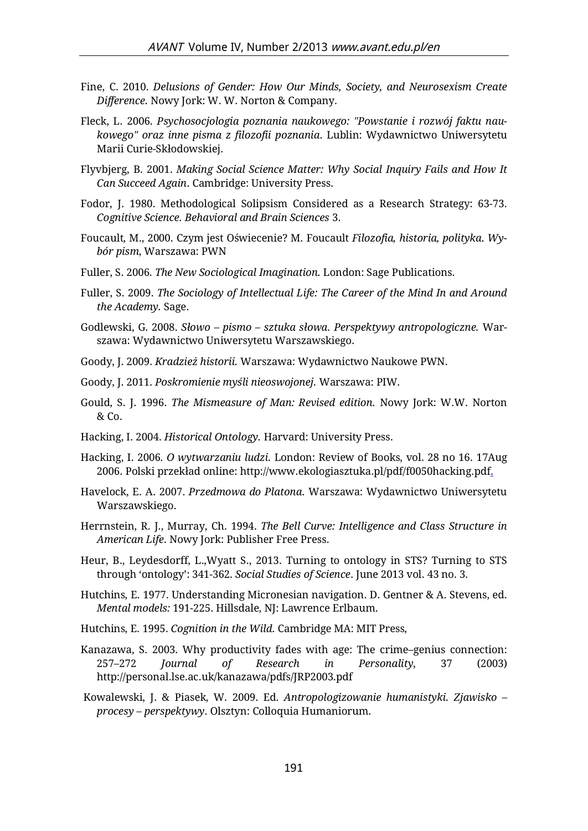- Fine, C. 2010. *Delusions of Gender: How Our Minds, Society, and Neurosexism Create Difference.* Nowy Jork: W. W. Norton & Company.
- Fleck, L. 2006. *Psychosocjologia poznania naukowego: "Powstanie i rozwój faktu naukowego" oraz inne pisma z filozofii poznania*. Lublin: Wydawnictwo Uniwersytetu Marii Curie-Skłodowskiej.
- Flyvbjerg, B. 2001. *Making Social Science Matter: Why Social Inquiry Fails and How It Can Succeed Again*. Cambridge: University Press.
- Fodor, J. 1980. Methodological Solipsism Considered as a Research Strategy: 63-73. *Cognitive Science. Behavioral and Brain Sciences* 3.
- Foucault, M., 2000. Czym jest Oświecenie? M. Foucault *Filozofia, historia, polityka. Wybór pism*, Warszawa: PWN
- Fuller, S. 2006. *The New Sociological Imagination.* London: Sage Publications.
- Fuller, S. 2009. *The Sociology of Intellectual Life: The Career of the Mind In and Around the Academy.* Sage.
- Godlewski, G. 2008. *Słowo – pismo – sztuka słowa. Perspektywy antropologiczne.* Warszawa: Wydawnictwo Uniwersytetu Warszawskiego.
- Goody, J. 2009. *Kradzież historii.* Warszawa: Wydawnictwo Naukowe PWN.
- Goody, J. 2011. *Poskromienie myśli nieoswojonej.* Warszawa: PIW.
- Gould, S. J. 1996. *The Mismeasure of Man: Revised edition.* Nowy Jork: W.W. Norton & Co.
- Hacking, I. 2004. *Historical Ontology.* Harvard: University Press.
- Hacking, I. 2006. *O wytwarzaniu ludzi.* London: Review of Books, vol. 28 no 16. 17Aug 2006. Polski przekład online: http://www.ekologiasztuka.pl/pdf/f0050hacking.pdf.
- Havelock, E. A. 2007. *Przedmowa do Platona*. Warszawa: Wydawnictwo Uniwersytetu Warszawskiego.
- Herrnstein, R. J., Murray, Ch. 1994. *The Bell Curve: Intelligence and Class Structure in American Life.* Nowy Jork: Publisher Free Press.
- Heur, B., Leydesdorff, L.,Wyatt S., 2013. Turning to ontology in STS? Turning to STS through 'ontology': 341-362. *Social Studies of Science*. June 2013 vol. 43 no. 3.
- Hutchins, E. 1977. Understanding Micronesian navigation. D. Gentner & A. Stevens, ed. *Mental models:* 191-225. Hillsdale, NJ: Lawrence Erlbaum.
- Hutchins, E. 1995. *Cognition in the Wild.* Cambridge MA: MIT Press,
- Kanazawa, S. 2003. Why productivity fades with age: The crime–genius connection: 257–272 *Journal of Research in Personality*, 37 (2003) http://personal.lse.ac.uk/kanazawa/pdfs/JRP2003.pdf
- Kowalewski, J. & Piasek, W. 2009. Ed. *Antropologizowanie humanistyki. Zjawisko – procesy – perspektywy*. Olsztyn: Colloquia Humaniorum.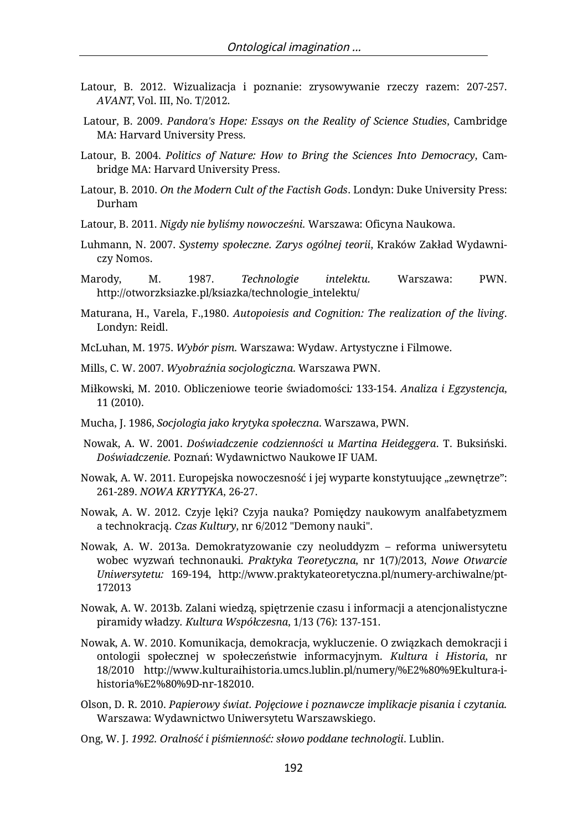- Latour, B. 2012. Wizualizacja i poznanie: zrysowywanie rzeczy razem: 207-257. *AVANT*, Vol. III, No. T/2012.
- Latour, B. 2009. *Pandora's Hope: Essays on the Reality of Science Studies*, Cambridge MA: Harvard University Press.
- Latour, B. 2004. *Politics of Nature: How to Bring the Sciences Into Democracy*, Cambridge MA: Harvard University Press.
- Latour, B. 2010. *On the Modern Cult of the Factish Gods*. Londyn: Duke University Press: Durham
- Latour, B. 2011. *Nigdy nie byliśmy nowocześni.* Warszawa: Oficyna Naukowa.
- Luhmann, N. 2007. *Systemy społeczne. Zarys ogólnej teorii*, Kraków Zakład Wydawniczy Nomos.
- Marody, M. 1987. *Technologie intelektu.* Warszawa: PWN. http://otworzksiazke.pl/ksiazka/technologie\_intelektu/
- Maturana, H., Varela, F.,1980. *Autopoiesis and Cognition: The realization of the living*. Londyn: Reidl.
- McLuhan, M. 1975. *Wybór pism.* Warszawa: Wydaw. Artystyczne i Filmowe.
- Mills, C. W. 2007. *Wyobraźnia socjologiczna*. Warszawa PWN.
- Miłkowski, M. 2010. Obliczeniowe teorie świadomości*:* 133-154. *Analiza i Egzystencja*, 11 (2010).
- Mucha, J. 1986, *Socjologia jako krytyka społeczna*. Warszawa, PWN.
- Nowak, A. W. 2001. *Doświadczenie codzienności u Martina Heideggera*. T. Buksiński. *Doświadczenie.* Poznań: Wydawnictwo Naukowe IF UAM.
- Nowak, A. W. 2011. Europejska nowoczesność i jej wyparte konstytuujące "zewnętrze": 261-289. *NOWA KRYTYKA*, 26-27.
- Nowak, A. W. 2012. Czyje lęki? Czyja nauka? Pomiędzy naukowym analfabetyzmem a technokracją. *Czas Kultury*, nr 6/2012 "Demony nauki".
- Nowak, A. W. 2013a. Demokratyzowanie czy neoluddyzm reforma uniwersytetu wobec wyzwań technonauki. *Praktyka Teoretyczna*, nr 1(7)/2013, *Nowe Otwarcie Uniwersytetu:* 169-194, http://www.praktykateoretyczna.pl/numery-archiwalne/pt-172013
- Nowak, A. W. 2013b. Zalani wiedzą, spiętrzenie czasu i informacji a atencjonalistyczne piramidy władzy*. Kultura Współczesna*, 1/13 (76): 137-151.
- Nowak, A. W. 2010. Komunikacja, demokracja, wykluczenie. O związkach demokracji i ontologii społecznej w społeczeństwie informacyjnym*. Kultura i Historia*, nr 18/2010 http://www.kulturaihistoria.umcs.lublin.pl/numery/%E2%80%9Ekultura-ihistoria%E2%80%9D-nr-182010.
- Olson, D. R. 2010. *Papierowy świat. Pojęciowe i poznawcze implikacje pisania i czytania.* Warszawa: Wydawnictwo Uniwersytetu Warszawskiego.
- Ong, W. J. *1992. Oralność i piśmienność: słowo poddane technologii*. Lublin.